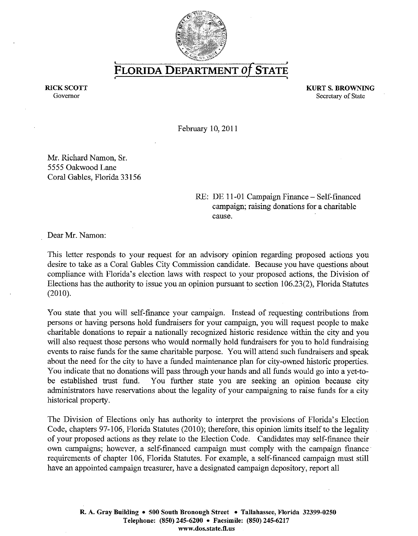

**FLORIDA DEPARTMENT Of STATE** 

RICK SCOTT<br>
Governor Secretary of State<br>
Secretary of State Secretary of State

February 10,2011

Mr. Richard Namon, Sf. 5555 Oakwood Lane Coral Gables, Florida 33156

> RE: DE 11-01 Campaign Finance - Self-financed campaign; raising donations for a charitable cause.

Dear Mr. Namon:

This letter responds to your request for an advisory opinion regarding proposed actions you desire to take as a Coral Gables City Commission candidate. Because you have questions about compliance with Florida's election laws with respect to your proposed actions, the Division of Elections has the authority to issue you an opinion pursuant to section 106.23(2), Florida Statutes (2010).

You state that you will self-finance your campaign. Instead of requesting contributions from persons or having persons hold fundraisers for your campaign, you will request people to make charitable donations to repair a nationally recognized historic residence within the city and you will also request those persons who would normally hold fundraisers for you to hold fundraising events to raise funds for the same charitable purpose. You will attend such fundraisers and speak about the need for the city to have a funded maintenance plan for city-owned historic properties. You indicate that no donations will pass through your hands and all funds would go into a yet-tobe established trust fund. You further state you are seeking an opinion because city administrators have reservations about the legality of your campaigning to raise funds for a city historical property.

The Division of Elections only has authority to interpret the provisions of Florida's Election Code, chapters 97-106, Florida Statutes (2010); therefore, this opinion limits itself to the legality of your proposed actions as they relate to the Election Code. Candidates may self-finance their own campaigns; however, a self-financed campaign must comply with the campaign finance requirements of chapter 106, Florida Statutes. For example, a self-fmanced campaign must still have an appointed campaign treasurer, have a designated campaign depository, report all

R. A. Gray Building • 500 South Bronough Street • Tallahassee, Florida 32399-0250 Telephone: (850) 245-6200 • Facsimile: (850) 245-6217 www.dos.state.fl.us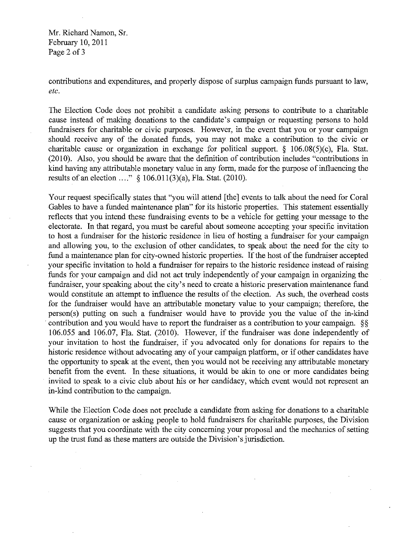Mr. Richard Namon, Sr. February 10, 2011 Page 2 of 3

contributions and expenditures, and properly dispose of surplus campaign funds pursuant to law, *etc.* 

The Election Code does not prohibit a candidate asking persons to contribute to a charitable cause instead of making donations to the candidate's campaign or requesting persons to hold fundraisers for charitable or civic purposes. However, in the event that you or your campaign should receive any of the donated funds, you may not make a contribution to the civic or charitable cause or organization in exchange for political support. § 106.08(5)(c), Fla. Stat. (2010). Also, you should be aware that the definition of contribution includes "contributions in kind having any attributable monetary value in any form, made for the purpose of influencing the results of an election ...."  $\{106.011(3)(a), \text{Fla. Stat.} (2010).$ 

Your request specifically states that "you will attend [the] events to talk about the need for Coral Gables to have a funded maintenance plan" for its historic properties. This statement essentially reflects that you intend these fundraising events to be a vehicle for getting your message to the electorate. In that regard, you must be careful about someone accepting your specific invitation to host a fundraiser for the historic residence in lieu of hosting a fundraiser for your campaign and allowing you, to the exclusion of other candidates, to speak about the need for the city to fund a maintenance plan for city-owned historic properties. If the host of the fundraiser accepted your specific invitation to hold a fundraiser for repairs to the historic residence instead of raising funds for your campaign and did not act truly independently of your campaign in organizing the fundraiser, your speaking about the city's need to create a historic preservation maintenance fund would constitute an attempt to influence the results of the election. As such, the overhead costs for the fundraiser would have an attributable monetary value to your campaign; therefore, the person(s) putting on such a fundraiser would have to provide you the value of the in-kind . contribution and you would have to report the fundraiser as a contribution to your campaign. § § 106.055 and 106.07, Fla. Stat. (2010). However, if the fundraiser was done independently of your invitation to host the fundraiser, if you advocated only for donations for repairs to the historic residence without advocating any of your campaign platform, or if other candidates have the opportunity to speak at the event, then you would not be receiving any attributable monetary benefit from the event. In these situations, it would be akin to one or more candidates being invited to speak to a civic club about his or her candidacy, which event would not represent an in-kind contribution to the campaign.

While the Election Code does not preclude a candidate from asking for donations to a charitable cause or organization or asking people to hold fundraisers for charitable purposes, the Division suggests that you coordinate with the city concerning your proposal and the mechanics of setting up the trust fund as these matters are outside the Division's jurisdiction.